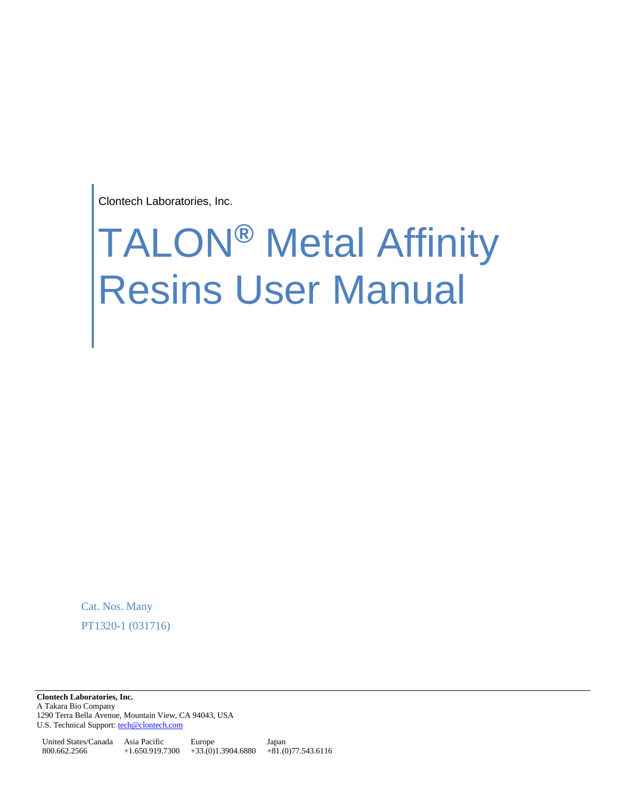Clontech Laboratories, Inc.

# TALON**®** Metal Affinity Resins User Manual

Cat. Nos. Many PT1320-1 (031716)

**Clontech Laboratories, Inc.**  A Takara Bio Company 1290 Terra Bella Avenue, Mountain View, CA 94043, USA U.S. Technical Support[: tech@clontech.com](mailto:tech@clontech.com)

United States/Canada Asia Pacific 800.662.2566 +1.650.919.7300 +33.(0)1.3904.6880 +81.(0)77.543.6116 Europe Japan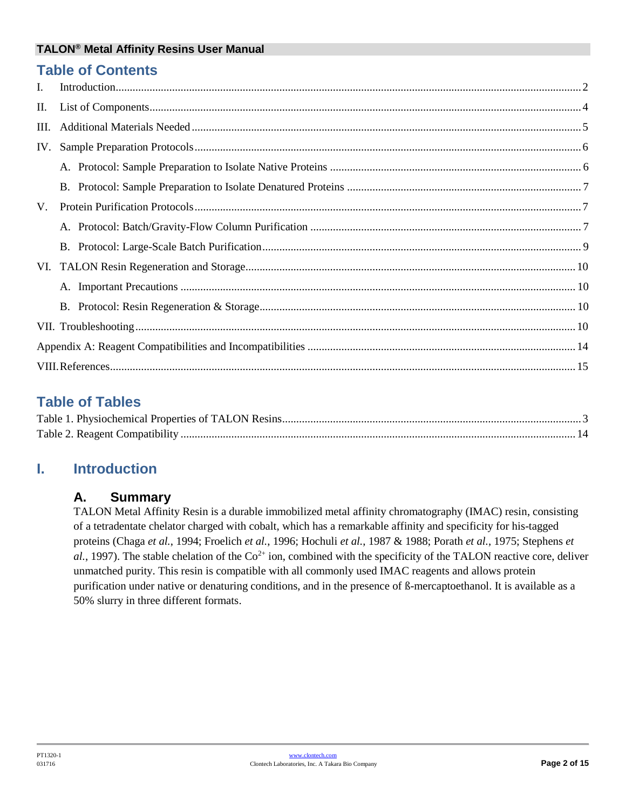## **Table of Contents**

| I.   |  |
|------|--|
| П.   |  |
| III. |  |
| IV.  |  |
|      |  |
|      |  |
| V.   |  |
|      |  |
|      |  |
|      |  |
|      |  |
|      |  |
|      |  |
|      |  |
|      |  |

# **Table of Tables**

# <span id="page-1-0"></span>**I. Introduction**

## **A. Summary**

TALON Metal Affinity Resin is a durable immobilized metal affinity chromatography (IMAC) resin, consisting of a tetradentate chelator charged with cobalt, which has a remarkable affinity and specificity for his-tagged proteins (Chaga *et al.*, 1994; Froelich *et al.*, 1996; Hochuli *et al.*, 1987 & 1988; Porath *et al.*, 1975; Stephens *et*   $al$ , 1997). The stable chelation of the  $Co^{2+}$  ion, combined with the specificity of the TALON reactive core, deliver unmatched purity. This resin is compatible with all commonly used IMAC reagents and allows protein purification under native or denaturing conditions, and in the presence of ß-mercaptoethanol. It is available as a 50% slurry in three different formats.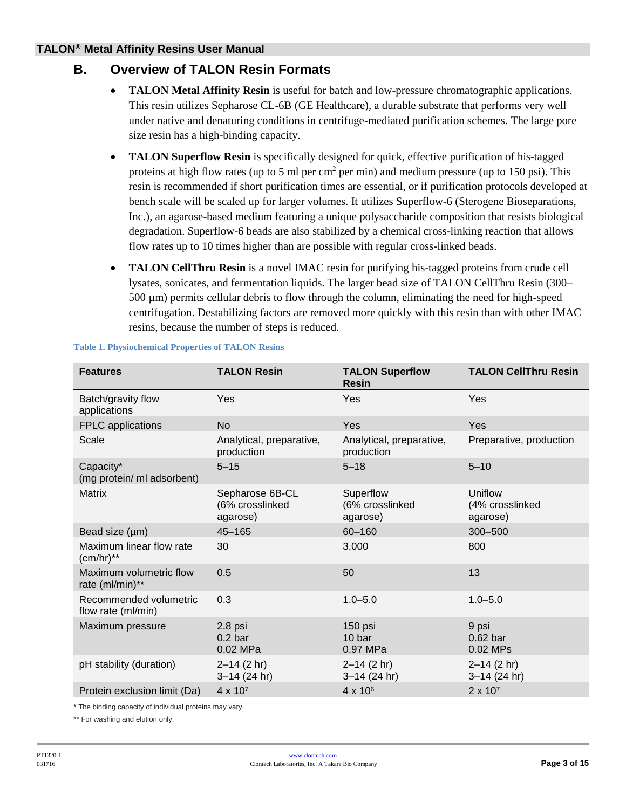## **B. Overview of TALON Resin Formats**

- **TALON Metal Affinity Resin** is useful for batch and low-pressure chromatographic applications. This resin utilizes Sepharose CL-6B (GE Healthcare), a durable substrate that performs very well under native and denaturing conditions in centrifuge-mediated purification schemes. The large pore size resin has a high-binding capacity.
- **TALON Superflow Resin** is specifically designed for quick, effective purification of his-tagged proteins at high flow rates (up to 5 ml per cm<sup>2</sup> per min) and medium pressure (up to 150 psi). This resin is recommended if short purification times are essential, or if purification protocols developed at bench scale will be scaled up for larger volumes. It utilizes Superflow-6 (Sterogene Bioseparations, Inc.), an agarose-based medium featuring a unique polysaccharide composition that resists biological degradation. Superflow-6 beads are also stabilized by a chemical cross-linking reaction that allows flow rates up to 10 times higher than are possible with regular cross-linked beads.
- **TALON CellThru Resin** is a novel IMAC resin for purifying his-tagged proteins from crude cell lysates, sonicates, and fermentation liquids. The larger bead size of TALON CellThru Resin (300– 500 µm) permits cellular debris to flow through the column, eliminating the need for high-speed centrifugation. Destabilizing factors are removed more quickly with this resin than with other IMAC resins, because the number of steps is reduced.

| <b>Features</b>                              | <b>TALON Resin</b>                             | <b>TALON Superflow</b><br><b>Resin</b>   | <b>TALON CellThru Resin</b>            |
|----------------------------------------------|------------------------------------------------|------------------------------------------|----------------------------------------|
| Batch/gravity flow<br>applications           | Yes                                            | Yes                                      | Yes                                    |
| FPLC applications                            | <b>No</b>                                      | Yes                                      | Yes                                    |
| Scale                                        | Analytical, preparative,<br>production         | Analytical, preparative,<br>production   | Preparative, production                |
| Capacity*<br>(mg protein/ ml adsorbent)      | $5 - 15$                                       | $5 - 18$                                 | $5 - 10$                               |
| <b>Matrix</b>                                | Sepharose 6B-CL<br>(6% crosslinked<br>agarose) | Superflow<br>(6% crosslinked<br>agarose) | Uniflow<br>(4% crosslinked<br>agarose) |
| Bead size (µm)                               | $45 - 165$                                     | 60-160                                   | 300-500                                |
| Maximum linear flow rate<br>$(cm/hr)**$      | 30                                             | 3,000                                    | 800                                    |
| Maximum volumetric flow<br>rate (ml/min)**   | 0.5                                            | 50                                       | 13                                     |
| Recommended volumetric<br>flow rate (ml/min) | 0.3                                            | $1.0 - 5.0$                              | $1.0 - 5.0$                            |
| Maximum pressure                             | 2.8 psi<br>$0.2b$ ar<br>0.02 MPa               | 150 psi<br>10 bar<br>0.97 MPa            | 9 psi<br>$0.62$ bar<br>0.02 MPs        |
| pH stability (duration)                      | $2 - 14$ (2 hr)<br>$3 - 14$ (24 hr)            | $2 - 14$ (2 hr)<br>$3-14$ (24 hr)        | $2 - 14$ (2 hr)<br>$3-14$ (24 hr)      |
| Protein exclusion limit (Da)                 | $4 \times 10^{7}$                              | 4 x 10 <sup>6</sup>                      | $2 \times 10^7$                        |

#### <span id="page-2-0"></span>**Table 1. Physiochemical Properties of TALON Resins**

\* The binding capacity of individual proteins may vary.

\*\* For washing and elution only.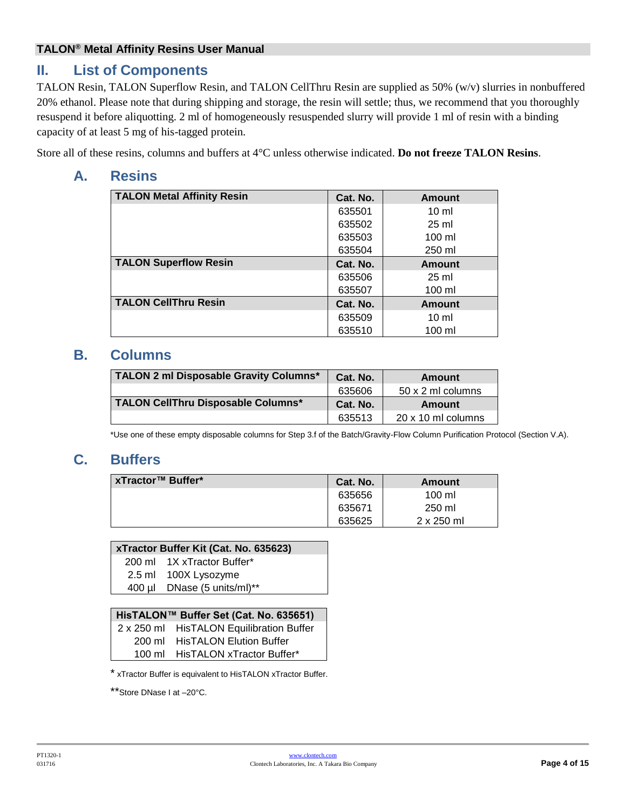# <span id="page-3-0"></span>**II. List of Components**

TALON Resin, TALON Superflow Resin, and TALON CellThru Resin are supplied as 50% (w/v) slurries in nonbuffered 20% ethanol. Please note that during shipping and storage, the resin will settle; thus, we recommend that you thoroughly resuspend it before aliquotting. 2 ml of homogeneously resuspended slurry will provide 1 ml of resin with a binding capacity of at least 5 mg of his-tagged protein.

Store all of these resins, columns and buffers at 4°C unless otherwise indicated. **Do not freeze TALON Resins**.

## **A. Resins**

| <b>TALON Metal Affinity Resin</b> | Cat. No. | <b>Amount</b>    |
|-----------------------------------|----------|------------------|
|                                   | 635501   | $10 \mathrm{m}$  |
|                                   | 635502   | $25 \text{ ml}$  |
|                                   | 635503   | $100 \mathrm{m}$ |
|                                   | 635504   | 250 ml           |
| <b>TALON Superflow Resin</b>      | Cat. No. | <b>Amount</b>    |
|                                   | 635506   | $25 \text{ ml}$  |
|                                   | 635507   | $100 \mathrm{m}$ |
| <b>TALON CellThru Resin</b>       | Cat. No. | Amount           |
|                                   | 635509   | $10 \mathrm{m}$  |
|                                   | 635510   | $100$ ml         |

## **B. Columns**

| TALON 2 ml Disposable Gravity Columns* | Cat. No. | Amount             |
|----------------------------------------|----------|--------------------|
|                                        | 635606   | 50 x 2 ml columns  |
| TALON CellThru Disposable Columns*     | Cat. No. | Amount             |
|                                        | 635513   | 20 x 10 ml columns |

\*Use one of these empty disposable columns for Step 3.f of the Batch/Gravity-Flow Column Purification Protocol (Section V.A).

# **C. Buffers**

| xTractor™ Buffer* | Cat. No. | Amount            |
|-------------------|----------|-------------------|
|                   | 635656   | 100 ml            |
|                   | 635671   | 250 ml            |
|                   | 635625   | $2 \times 250$ ml |

#### **xTractor Buffer Kit (Cat. No. 635623)**

200 ml 1X xTractor Buffer\*

- 2.5 ml 100X Lysozyme
- 400 µl DNase (5 units/ml)\*\*

#### **HisTALON™ Buffer Set (Cat. No. 635651)**

| 2 x 250 ml HisTALON Equilibration Buffer |
|------------------------------------------|
| 200 ml HisTALON Elution Buffer           |
| 100 ml HisTALON xTractor Buffer*         |

\* xTractor Buffer is equivalent to HisTALON xTractor Buffer.

\*\*Store DNase I at –20°C.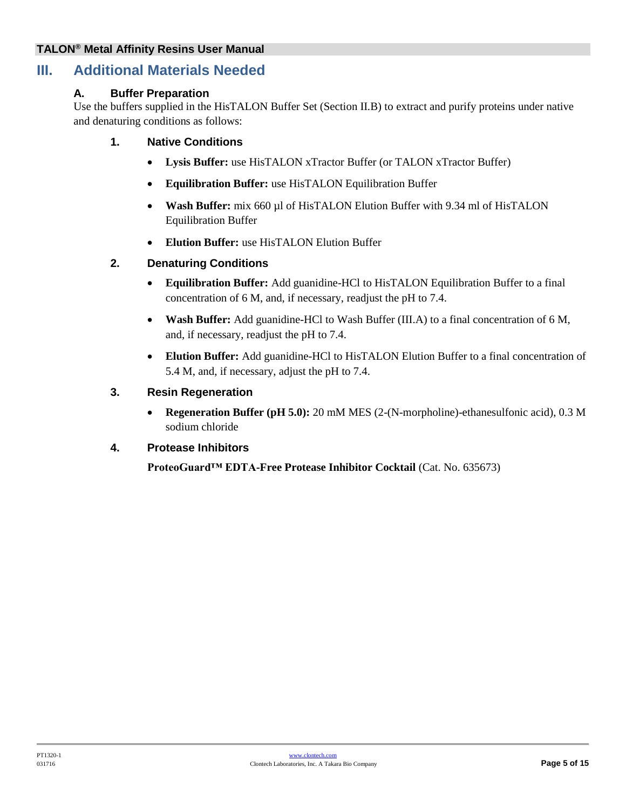## <span id="page-4-0"></span>**III. Additional Materials Needed**

#### **A. Buffer Preparation**

Use the buffers supplied in the HisTALON Buffer Set (Section II.B) to extract and purify proteins under native and denaturing conditions as follows:

#### **1. Native Conditions**

- **Lysis Buffer:** use HisTALON xTractor Buffer (or TALON xTractor Buffer)
- **Equilibration Buffer:** use HisTALON Equilibration Buffer
- Wash Buffer: mix 660 µl of HisTALON Elution Buffer with 9.34 ml of HisTALON Equilibration Buffer
- **Elution Buffer:** use HisTALON Elution Buffer

#### **2. Denaturing Conditions**

- **Equilibration Buffer:** Add guanidine-HCl to HisTALON Equilibration Buffer to a final concentration of 6 M, and, if necessary, readjust the pH to 7.4.
- **Wash Buffer:** Add guanidine-HCl to Wash Buffer (III.A) to a final concentration of 6 M, and, if necessary, readjust the pH to 7.4.
- **Elution Buffer:** Add guanidine-HCl to HisTALON Elution Buffer to a final concentration of 5.4 M, and, if necessary, adjust the pH to 7.4.

#### **3. Resin Regeneration**

 **Regeneration Buffer (pH 5.0):** 20 mM MES (2-(N-morpholine)-ethanesulfonic acid), 0.3 M sodium chloride

#### **4. Protease Inhibitors**

**ProteoGuard™ EDTA-Free Protease Inhibitor Cocktail** (Cat. No. 635673)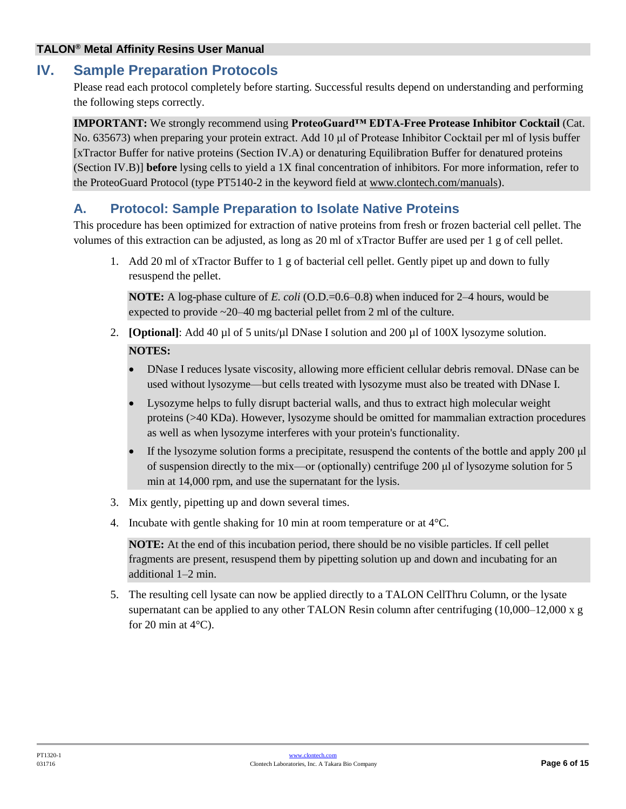## <span id="page-5-0"></span>**IV. Sample Preparation Protocols**

Please read each protocol completely before starting. Successful results depend on understanding and performing the following steps correctly.

**IMPORTANT:** We strongly recommend using **ProteoGuard™ EDTA-Free Protease Inhibitor Cocktail** (Cat. No. 635673) when preparing your protein extract. Add 10 μl of Protease Inhibitor Cocktail per ml of lysis buffer [xTractor Buffer for native proteins (Section IV.A) or denaturing Equilibration Buffer for denatured proteins (Section IV.B)] **before** lysing cells to yield a 1X final concentration of inhibitors. For more information, refer to the ProteoGuard Protocol (type PT5140-2 in the keyword field at [www.clontech.com/manuals\)](http://www.clontech.com/manuals).

## <span id="page-5-1"></span>**A. Protocol: Sample Preparation to Isolate Native Proteins**

This procedure has been optimized for extraction of native proteins from fresh or frozen bacterial cell pellet. The volumes of this extraction can be adjusted, as long as 20 ml of xTractor Buffer are used per 1 g of cell pellet.

1. Add 20 ml of xTractor Buffer to 1 g of bacterial cell pellet. Gently pipet up and down to fully resuspend the pellet.

**NOTE:** A log-phase culture of *E. coli* (O.D.=0.6–0.8) when induced for 2–4 hours, would be expected to provide ~20–40 mg bacterial pellet from 2 ml of the culture.

- 2. **[Optional]**: Add 40 µl of 5 units/µl DNase I solution and 200 µl of 100X lysozyme solution. **NOTES:** 
	- DNase I reduces lysate viscosity, allowing more efficient cellular debris removal. DNase can be used without lysozyme—but cells treated with lysozyme must also be treated with DNase I.
	- Lysozyme helps to fully disrupt bacterial walls, and thus to extract high molecular weight proteins (>40 KDa). However, lysozyme should be omitted for mammalian extraction procedures as well as when lysozyme interferes with your protein's functionality.
	- If the lysozyme solution forms a precipitate, resuspend the contents of the bottle and apply 200 μl of suspension directly to the mix—or (optionally) centrifuge 200 μl of lysozyme solution for 5 min at 14,000 rpm, and use the supernatant for the lysis.
- 3. Mix gently, pipetting up and down several times.
- 4. Incubate with gentle shaking for 10 min at room temperature or at 4°C.

**NOTE:** At the end of this incubation period, there should be no visible particles. If cell pellet fragments are present, resuspend them by pipetting solution up and down and incubating for an additional 1–2 min.

<span id="page-5-2"></span>5. The resulting cell lysate can now be applied directly to a TALON CellThru Column, or the lysate supernatant can be applied to any other TALON Resin column after centrifuging  $(10,000-12,000 \times g)$ for 20 min at  $4^{\circ}$ C).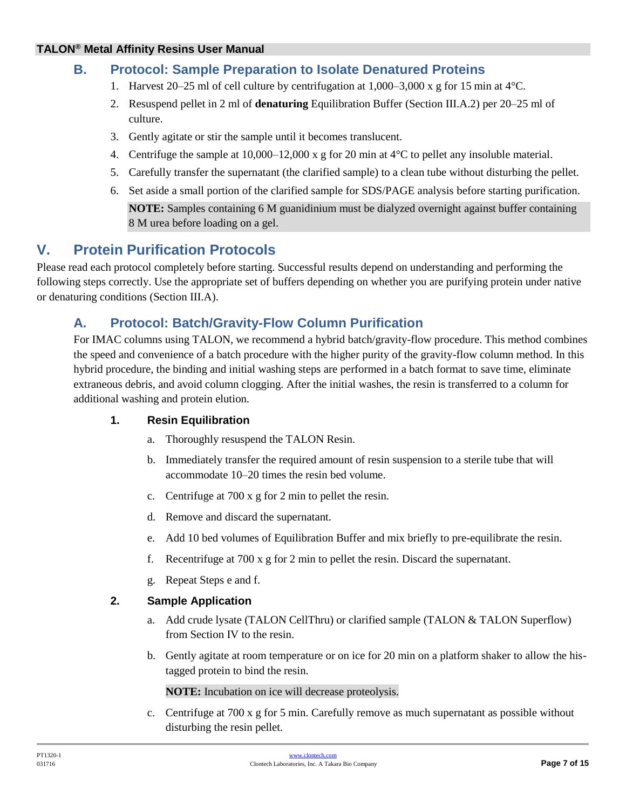## **B. Protocol: Sample Preparation to Isolate Denatured Proteins**

- 1. Harvest 20–25 ml of cell culture by centrifugation at  $1,000-3,000 \times g$  for 15 min at 4 °C.
- 2. Resuspend pellet in 2 ml of **denaturing** Equilibration Buffer (Section III.A.2) per 20–25 ml of culture.
- 3. Gently agitate or stir the sample until it becomes translucent.
- 4. Centrifuge the sample at  $10,000-12,000 \times g$  for 20 min at  $4^{\circ}$ C to pellet any insoluble material.
- 5. Carefully transfer the supernatant (the clarified sample) to a clean tube without disturbing the pellet.
- 6. Set aside a small portion of the clarified sample for SDS/PAGE analysis before starting purification.

**NOTE:** Samples containing 6 M guanidinium must be dialyzed overnight against buffer containing 8 M urea before loading on a gel.

# <span id="page-6-0"></span>**V. Protein Purification Protocols**

Please read each protocol completely before starting. Successful results depend on understanding and performing the following steps correctly. Use the appropriate set of buffers depending on whether you are purifying protein under native or denaturing conditions (Section III.A).

## <span id="page-6-1"></span>**A. Protocol: Batch/Gravity-Flow Column Purification**

For IMAC columns using TALON, we recommend a hybrid batch/gravity-flow procedure. This method combines the speed and convenience of a batch procedure with the higher purity of the gravity-flow column method. In this hybrid procedure, the binding and initial washing steps are performed in a batch format to save time, eliminate extraneous debris, and avoid column clogging. After the initial washes, the resin is transferred to a column for additional washing and protein elution.

#### **1. Resin Equilibration**

- a. Thoroughly resuspend the TALON Resin.
- b. Immediately transfer the required amount of resin suspension to a sterile tube that will accommodate 10–20 times the resin bed volume.
- c. Centrifuge at 700 x g for 2 min to pellet the resin.
- d. Remove and discard the supernatant.
- e. Add 10 bed volumes of Equilibration Buffer and mix briefly to pre-equilibrate the resin.
- f. Recentrifuge at 700 x g for 2 min to pellet the resin. Discard the supernatant.
- g. Repeat Steps e and f.

#### **2. Sample Application**

- a. Add crude lysate (TALON CellThru) or clarified sample (TALON & TALON Superflow) from Section IV to the resin.
- b. Gently agitate at room temperature or on ice for 20 min on a platform shaker to allow the histagged protein to bind the resin.

**NOTE:** Incubation on ice will decrease proteolysis.

c. Centrifuge at 700 x g for 5 min. Carefully remove as much supernatant as possible without disturbing the resin pellet.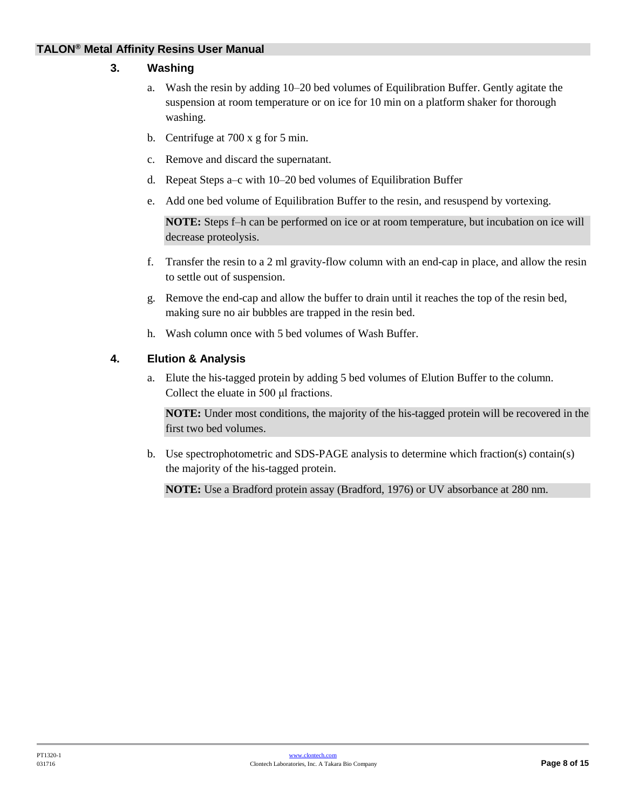#### **3. Washing**

- a. Wash the resin by adding 10–20 bed volumes of Equilibration Buffer. Gently agitate the suspension at room temperature or on ice for 10 min on a platform shaker for thorough washing.
- b. Centrifuge at 700 x g for 5 min.
- c. Remove and discard the supernatant.
- d. Repeat Steps a–c with 10–20 bed volumes of Equilibration Buffer
- e. Add one bed volume of Equilibration Buffer to the resin, and resuspend by vortexing.

**NOTE:** Steps f–h can be performed on ice or at room temperature, but incubation on ice will decrease proteolysis.

- f. Transfer the resin to a 2 ml gravity-flow column with an end-cap in place, and allow the resin to settle out of suspension.
- g. Remove the end-cap and allow the buffer to drain until it reaches the top of the resin bed, making sure no air bubbles are trapped in the resin bed.
- h. Wash column once with 5 bed volumes of Wash Buffer.

#### **4. Elution & Analysis**

a. Elute the his-tagged protein by adding 5 bed volumes of Elution Buffer to the column. Collect the eluate in 500 μl fractions.

**NOTE:** Under most conditions, the majority of the his-tagged protein will be recovered in the first two bed volumes.

b. Use spectrophotometric and SDS-PAGE analysis to determine which fraction(s) contain(s) the majority of the his-tagged protein.

**NOTE:** Use a Bradford protein assay (Bradford, 1976) or UV absorbance at 280 nm.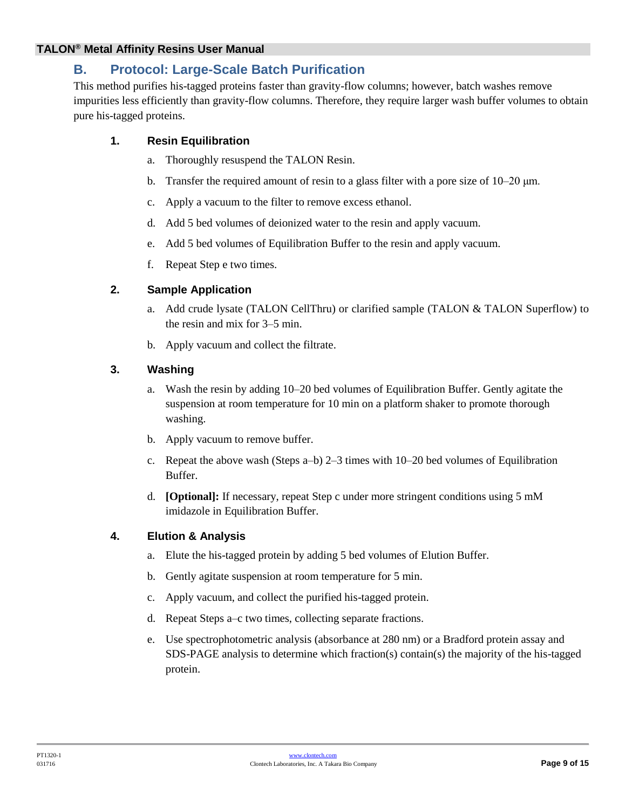## <span id="page-8-0"></span>**B. Protocol: Large-Scale Batch Purification**

This method purifies his-tagged proteins faster than gravity-flow columns; however, batch washes remove impurities less efficiently than gravity-flow columns. Therefore, they require larger wash buffer volumes to obtain pure his-tagged proteins.

#### **1. Resin Equilibration**

- a. Thoroughly resuspend the TALON Resin.
- b. Transfer the required amount of resin to a glass filter with a pore size of  $10-20 \mu m$ .
- c. Apply a vacuum to the filter to remove excess ethanol.
- d. Add 5 bed volumes of deionized water to the resin and apply vacuum.
- e. Add 5 bed volumes of Equilibration Buffer to the resin and apply vacuum.
- f. Repeat Step e two times.

#### **2. Sample Application**

- a. Add crude lysate (TALON CellThru) or clarified sample (TALON & TALON Superflow) to the resin and mix for 3–5 min.
- b. Apply vacuum and collect the filtrate.

#### **3. Washing**

- a. Wash the resin by adding 10–20 bed volumes of Equilibration Buffer. Gently agitate the suspension at room temperature for 10 min on a platform shaker to promote thorough washing.
- b. Apply vacuum to remove buffer.
- c. Repeat the above wash (Steps a–b) 2–3 times with 10–20 bed volumes of Equilibration Buffer.
- d. **[Optional]:** If necessary, repeat Step c under more stringent conditions using 5 mM imidazole in Equilibration Buffer.

#### **4. Elution & Analysis**

- a. Elute the his-tagged protein by adding 5 bed volumes of Elution Buffer.
- b. Gently agitate suspension at room temperature for 5 min.
- c. Apply vacuum, and collect the purified his-tagged protein.
- d. Repeat Steps a–c two times, collecting separate fractions.
- e. Use spectrophotometric analysis (absorbance at 280 nm) or a Bradford protein assay and SDS-PAGE analysis to determine which fraction(s) contain(s) the majority of the his-tagged protein.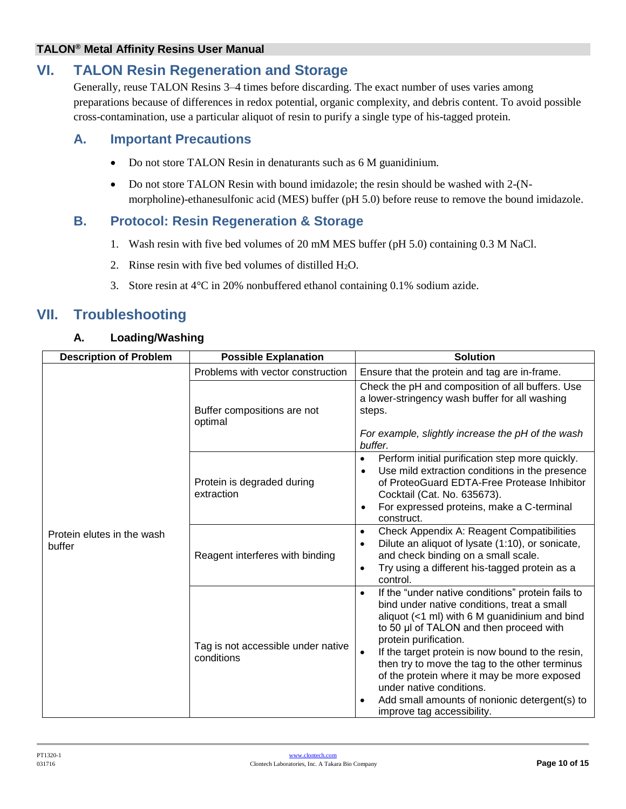# <span id="page-9-0"></span>**VI. TALON Resin Regeneration and Storage**

Generally, reuse TALON Resins 3–4 times before discarding. The exact number of uses varies among preparations because of differences in redox potential, organic complexity, and debris content. To avoid possible cross-contamination, use a particular aliquot of resin to purify a single type of his-tagged protein.

## <span id="page-9-1"></span>**A. Important Precautions**

- Do not store TALON Resin in denaturants such as 6 M guanidinium.
- Do not store TALON Resin with bound imidazole; the resin should be washed with 2-(Nmorpholine)-ethanesulfonic acid (MES) buffer (pH 5.0) before reuse to remove the bound imidazole.

## <span id="page-9-2"></span>**B. Protocol: Resin Regeneration & Storage**

- 1. Wash resin with five bed volumes of 20 mM MES buffer (pH 5.0) containing 0.3 M NaCl.
- 2. Rinse resin with five bed volumes of distilled  $H_2O$ .
- 3. Store resin at 4°C in 20% nonbuffered ethanol containing 0.1% sodium azide.

# <span id="page-9-3"></span>**VII. Troubleshooting**

#### **A. Loading/Washing**

| <b>Description of Problem</b>        | <b>Possible Explanation</b>                      | <b>Solution</b>                                                                                                                                                                                                                                                                                                                                                                                                                                                                                                      |  |
|--------------------------------------|--------------------------------------------------|----------------------------------------------------------------------------------------------------------------------------------------------------------------------------------------------------------------------------------------------------------------------------------------------------------------------------------------------------------------------------------------------------------------------------------------------------------------------------------------------------------------------|--|
|                                      | Problems with vector construction                | Ensure that the protein and tag are in-frame.                                                                                                                                                                                                                                                                                                                                                                                                                                                                        |  |
|                                      | Buffer compositions are not<br>optimal           | Check the pH and composition of all buffers. Use<br>a lower-stringency wash buffer for all washing<br>steps.<br>For example, slightly increase the pH of the wash<br>buffer.                                                                                                                                                                                                                                                                                                                                         |  |
|                                      | Protein is degraded during<br>extraction         | Perform initial purification step more quickly.<br>$\bullet$<br>Use mild extraction conditions in the presence<br>$\bullet$<br>of ProteoGuard EDTA-Free Protease Inhibitor<br>Cocktail (Cat. No. 635673).<br>For expressed proteins, make a C-terminal<br>$\bullet$<br>construct.                                                                                                                                                                                                                                    |  |
| Protein elutes in the wash<br>buffer | Reagent interferes with binding                  | <b>Check Appendix A: Reagent Compatibilities</b><br>$\bullet$<br>Dilute an aliquot of lysate (1:10), or sonicate,<br>٠<br>and check binding on a small scale.<br>Try using a different his-tagged protein as a<br>$\bullet$<br>control.                                                                                                                                                                                                                                                                              |  |
|                                      | Tag is not accessible under native<br>conditions | If the "under native conditions" protein fails to<br>$\bullet$<br>bind under native conditions, treat a small<br>aliquot (<1 ml) with 6 M guanidinium and bind<br>to 50 µl of TALON and then proceed with<br>protein purification.<br>If the target protein is now bound to the resin,<br>$\bullet$<br>then try to move the tag to the other terminus<br>of the protein where it may be more exposed<br>under native conditions.<br>Add small amounts of nonionic detergent(s) to<br>٠<br>improve tag accessibility. |  |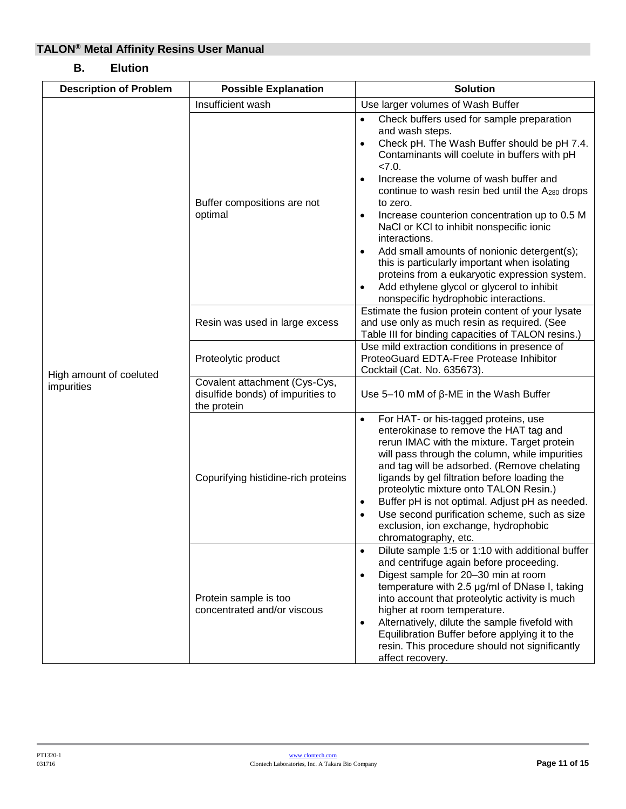### **B. Elution**

| <b>Description of Problem</b>         | <b>Possible Explanation</b>                                                       | <b>Solution</b>                                                                                                                                                                                                                                                                                                                                                                                                                                                                                                                                                                                                                                                 |
|---------------------------------------|-----------------------------------------------------------------------------------|-----------------------------------------------------------------------------------------------------------------------------------------------------------------------------------------------------------------------------------------------------------------------------------------------------------------------------------------------------------------------------------------------------------------------------------------------------------------------------------------------------------------------------------------------------------------------------------------------------------------------------------------------------------------|
|                                       | Insufficient wash                                                                 | Use larger volumes of Wash Buffer                                                                                                                                                                                                                                                                                                                                                                                                                                                                                                                                                                                                                               |
|                                       | Buffer compositions are not<br>optimal                                            | Check buffers used for sample preparation<br>$\bullet$<br>and wash steps.<br>Check pH. The Wash Buffer should be pH 7.4.<br>$\bullet$<br>Contaminants will coelute in buffers with pH<br>27.0<br>Increase the volume of wash buffer and<br>$\bullet$<br>continue to wash resin bed until the A280 drops<br>to zero.<br>Increase counterion concentration up to 0.5 M<br>٠<br>NaCl or KCl to inhibit nonspecific ionic<br>interactions.<br>Add small amounts of nonionic detergent(s);<br>$\bullet$<br>this is particularly important when isolating<br>proteins from a eukaryotic expression system.<br>Add ethylene glycol or glycerol to inhibit<br>$\bullet$ |
|                                       | Resin was used in large excess                                                    | nonspecific hydrophobic interactions.<br>Estimate the fusion protein content of your lysate<br>and use only as much resin as required. (See                                                                                                                                                                                                                                                                                                                                                                                                                                                                                                                     |
|                                       | Proteolytic product                                                               | Table III for binding capacities of TALON resins.)<br>Use mild extraction conditions in presence of<br>ProteoGuard EDTA-Free Protease Inhibitor<br>Cocktail (Cat. No. 635673).                                                                                                                                                                                                                                                                                                                                                                                                                                                                                  |
| High amount of coeluted<br>impurities | Covalent attachment (Cys-Cys,<br>disulfide bonds) of impurities to<br>the protein | Use 5-10 mM of $\beta$ -ME in the Wash Buffer                                                                                                                                                                                                                                                                                                                                                                                                                                                                                                                                                                                                                   |
|                                       | Copurifying histidine-rich proteins                                               | For HAT- or his-tagged proteins, use<br>$\bullet$<br>enterokinase to remove the HAT tag and<br>rerun IMAC with the mixture. Target protein<br>will pass through the column, while impurities<br>and tag will be adsorbed. (Remove chelating<br>ligands by gel filtration before loading the<br>proteolytic mixture onto TALON Resin.)<br>Buffer pH is not optimal. Adjust pH as needed.<br>٠<br>Use second purification scheme, such as size<br>exclusion, ion exchange, hydrophobic<br>chromatography, etc.                                                                                                                                                    |
|                                       | Protein sample is too<br>concentrated and/or viscous                              | Dilute sample 1:5 or 1:10 with additional buffer<br>$\bullet$<br>and centrifuge again before proceeding.<br>Digest sample for 20-30 min at room<br>$\bullet$<br>temperature with 2.5 µg/ml of DNase I, taking<br>into account that proteolytic activity is much<br>higher at room temperature.<br>Alternatively, dilute the sample fivefold with<br>$\bullet$<br>Equilibration Buffer before applying it to the<br>resin. This procedure should not significantly<br>affect recovery.                                                                                                                                                                           |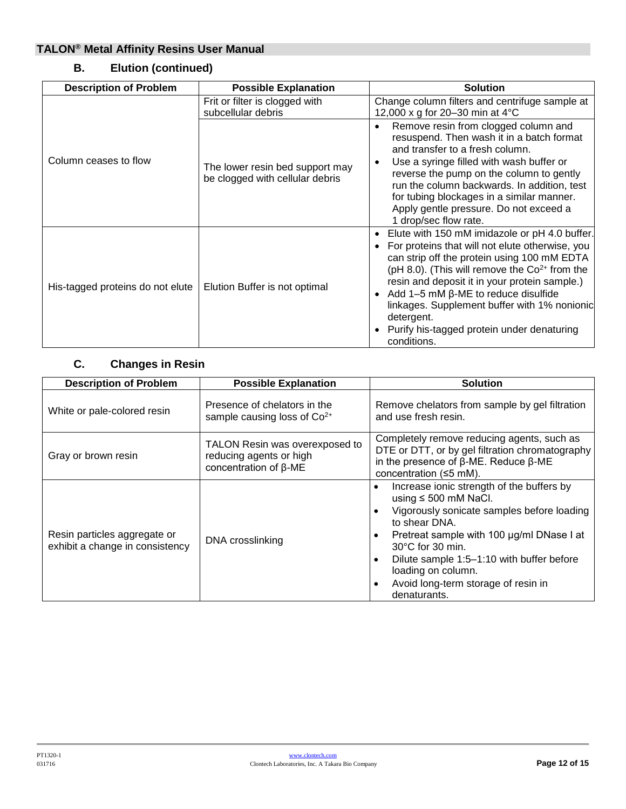| <b>Description of Problem</b>    | <b>Possible Explanation</b>                                        | <b>Solution</b>                                                                                                                                                                                                                                                                                                                                                                                                                   |
|----------------------------------|--------------------------------------------------------------------|-----------------------------------------------------------------------------------------------------------------------------------------------------------------------------------------------------------------------------------------------------------------------------------------------------------------------------------------------------------------------------------------------------------------------------------|
|                                  | Frit or filter is clogged with<br>subcellular debris               | Change column filters and centrifuge sample at<br>12,000 x g for 20-30 min at $4^{\circ}$ C                                                                                                                                                                                                                                                                                                                                       |
| Column ceases to flow            | The lower resin bed support may<br>be clogged with cellular debris | Remove resin from clogged column and<br>resuspend. Then wash it in a batch format<br>and transfer to a fresh column.<br>Use a syringe filled with wash buffer or<br>reverse the pump on the column to gently<br>run the column backwards. In addition, test<br>for tubing blockages in a similar manner.<br>Apply gentle pressure. Do not exceed a<br>1 drop/sec flow rate.                                                       |
| His-tagged proteins do not elute | Elution Buffer is not optimal                                      | Elute with 150 mM imidazole or pH 4.0 buffer.<br>For proteins that will not elute otherwise, you<br>can strip off the protein using 100 mM EDTA<br>( $pH$ 8.0). (This will remove the $Co2+$ from the<br>resin and deposit it in your protein sample.)<br>Add $1-5$ mM $\beta$ -ME to reduce disulfide<br>linkages. Supplement buffer with 1% nonionic<br>detergent.<br>Purify his-tagged protein under denaturing<br>conditions. |

## **B. Elution (continued)**

## **C. Changes in Resin**

| <b>Description of Problem</b>                                   | <b>Possible Explanation</b>                                                               | <b>Solution</b>                                                                                                                                                                                                                                                                                                                            |
|-----------------------------------------------------------------|-------------------------------------------------------------------------------------------|--------------------------------------------------------------------------------------------------------------------------------------------------------------------------------------------------------------------------------------------------------------------------------------------------------------------------------------------|
| White or pale-colored resin                                     | Presence of chelators in the<br>sample causing loss of Co <sup>2+</sup>                   | Remove chelators from sample by gel filtration<br>and use fresh resin.                                                                                                                                                                                                                                                                     |
| Gray or brown resin                                             | TALON Resin was overexposed to<br>reducing agents or high<br>concentration of $\beta$ -ME | Completely remove reducing agents, such as<br>DTE or DTT, or by gel filtration chromatography<br>in the presence of $\beta$ -ME. Reduce $\beta$ -ME<br>concentration $(\leq 5$ mM).                                                                                                                                                        |
| Resin particles aggregate or<br>exhibit a change in consistency | DNA crosslinking                                                                          | Increase ionic strength of the buffers by<br>using $\leq 500$ mM NaCl.<br>Vigorously sonicate samples before loading<br>to shear DNA.<br>Pretreat sample with 100 µg/ml DNase I at<br>$30^{\circ}$ C for 30 min.<br>Dilute sample 1:5-1:10 with buffer before<br>loading on column.<br>Avoid long-term storage of resin in<br>denaturants. |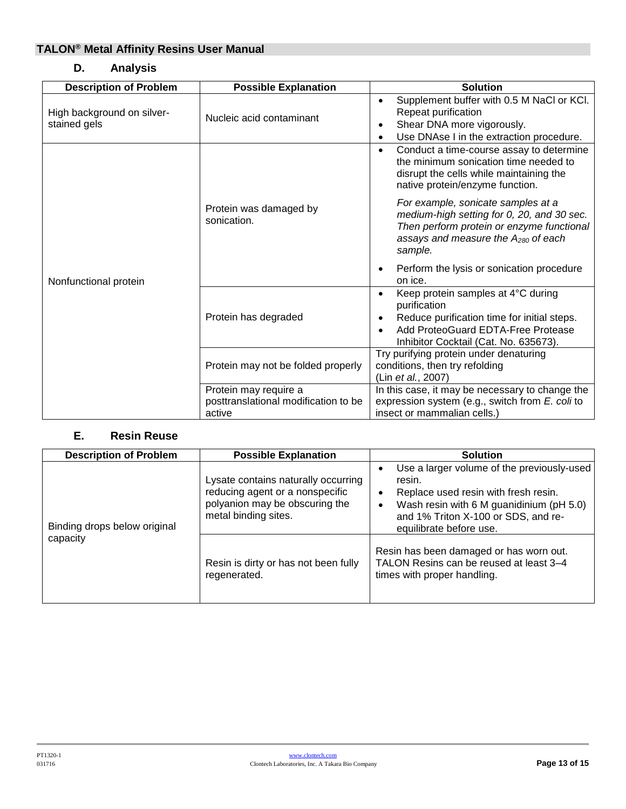## **D. Analysis**

| <b>Description of Problem</b>              | <b>Possible Explanation</b>                                             | <b>Solution</b>                                                                                                                                                                                            |  |
|--------------------------------------------|-------------------------------------------------------------------------|------------------------------------------------------------------------------------------------------------------------------------------------------------------------------------------------------------|--|
| High background on silver-<br>stained gels | Nucleic acid contaminant                                                | Supplement buffer with 0.5 M NaCl or KCl.<br>Repeat purification<br>Shear DNA more vigorously.<br>Use DNAse I in the extraction procedure.<br>$\bullet$                                                    |  |
|                                            |                                                                         | Conduct a time-course assay to determine<br>$\bullet$<br>the minimum sonication time needed to<br>disrupt the cells while maintaining the<br>native protein/enzyme function.                               |  |
|                                            | Protein was damaged by<br>sonication.                                   | For example, sonicate samples at a<br>medium-high setting for 0, 20, and 30 sec.<br>Then perform protein or enzyme functional<br>assays and measure the $A_{280}$ of each<br>sample.                       |  |
| Nonfunctional protein                      |                                                                         | Perform the lysis or sonication procedure<br>on ice.                                                                                                                                                       |  |
|                                            | Protein has degraded                                                    | Keep protein samples at 4°C during<br>$\bullet$<br>purification<br>Reduce purification time for initial steps.<br>Add ProteoGuard EDTA-Free Protease<br>$\bullet$<br>Inhibitor Cocktail (Cat. No. 635673). |  |
|                                            | Protein may not be folded properly                                      | Try purifying protein under denaturing<br>conditions, then try refolding<br>(Lin et al., 2007)                                                                                                             |  |
|                                            | Protein may require a<br>posttranslational modification to be<br>active | In this case, it may be necessary to change the<br>expression system (e.g., switch from E. coli to<br>insect or mammalian cells.)                                                                          |  |

#### **E. Resin Reuse**

| <b>Description of Problem</b>            | <b>Possible Explanation</b>                                                                                                      | <b>Solution</b>                                                                                                                                                                                                           |
|------------------------------------------|----------------------------------------------------------------------------------------------------------------------------------|---------------------------------------------------------------------------------------------------------------------------------------------------------------------------------------------------------------------------|
| Binding drops below original<br>capacity | Lysate contains naturally occurring<br>reducing agent or a nonspecific<br>polyanion may be obscuring the<br>metal binding sites. | Use a larger volume of the previously-used<br>٠<br>resin.<br>Replace used resin with fresh resin.<br>٠<br>Wash resin with 6 M guanidinium (pH 5.0)<br>٠<br>and 1% Triton X-100 or SDS, and re-<br>equilibrate before use. |
|                                          | Resin is dirty or has not been fully<br>regenerated.                                                                             | Resin has been damaged or has worn out.<br>TALON Resins can be reused at least 3-4<br>times with proper handling.                                                                                                         |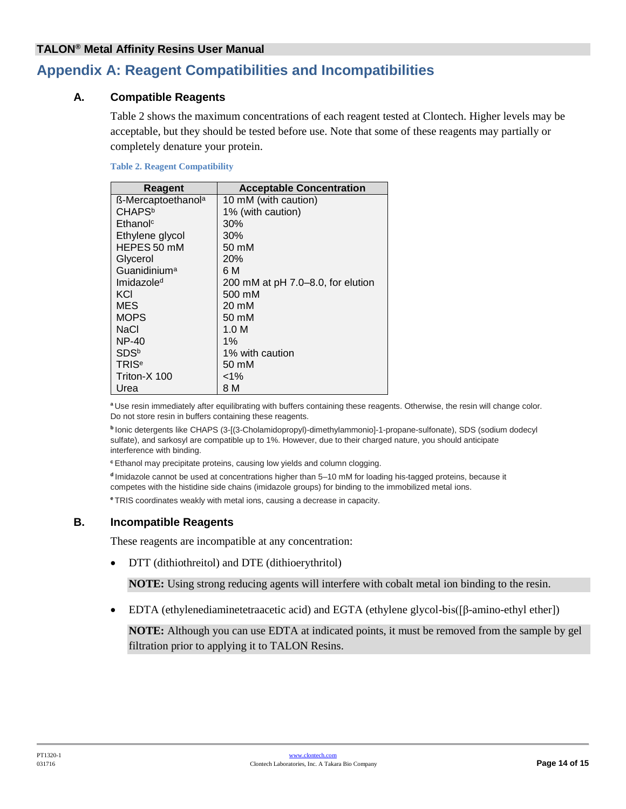# <span id="page-13-0"></span>**Appendix A: Reagent Compatibilities and Incompatibilities**

#### **A. Compatible Reagents**

Table 2 shows the maximum concentrations of each reagent tested at Clontech. Higher levels may be acceptable, but they should be tested before use. Note that some of these reagents may partially or completely denature your protein.

#### <span id="page-13-1"></span>**Table 2. Reagent Compatibility**

| Reagent                        | <b>Acceptable Concentration</b>   |
|--------------------------------|-----------------------------------|
| ß-Mercaptoethanol <sup>a</sup> | 10 mM (with caution)              |
| <b>CHAPS</b> <sup>b</sup>      | 1% (with caution)                 |
| Ethanol <sup>c</sup>           | 30%                               |
| Ethylene glycol                | 30%                               |
| HEPES 50 mM                    | 50 mM                             |
| Glycerol                       | 20%                               |
| Guanidinium <sup>a</sup>       | 6 M                               |
| Imidazole <sup>d</sup>         | 200 mM at pH 7.0–8.0, for elution |
| KCI                            | 500 mM                            |
| MES                            | 20 mM                             |
| <b>MOPS</b>                    | 50 mM                             |
| NaCl                           | 1.0 M                             |
| <b>NP-40</b>                   | $1\%$                             |
| SDS <sup>b</sup>               | 1% with caution                   |
| TRIS <sup>e</sup>              | 50 mM                             |
| Triton-X 100                   | $< 1\%$                           |
| Urea                           | 8 M                               |

**<sup>a</sup>** Use resin immediately after equilibrating with buffers containing these reagents. Otherwise, the resin will change color. Do not store resin in buffers containing these reagents.

**b** Ionic detergents like CHAPS (3-[(3-Cholamidopropyl)-dimethylammonio]-1-propane-sulfonate), SDS (sodium dodecyl sulfate), and sarkosyl are compatible up to 1%. However, due to their charged nature, you should anticipate interference with binding.

**<sup>c</sup>** Ethanol may precipitate proteins, causing low yields and column clogging.

**<sup>d</sup>**Imidazole cannot be used at concentrations higher than 5–10 mM for loading his-tagged proteins, because it competes with the histidine side chains (imidazole groups) for binding to the immobilized metal ions.

**<sup>e</sup>**TRIS coordinates weakly with metal ions, causing a decrease in capacity.

#### **B. Incompatible Reagents**

These reagents are incompatible at any concentration:

• DTT (dithiothreitol) and DTE (dithioerythritol)

**NOTE:** Using strong reducing agents will interfere with cobalt metal ion binding to the resin.

EDTA (ethylenediaminetetraacetic acid) and EGTA (ethylene glycol-bis([β-amino-ethyl ether])

**NOTE:** Although you can use EDTA at indicated points, it must be removed from the sample by gel filtration prior to applying it to TALON Resins.